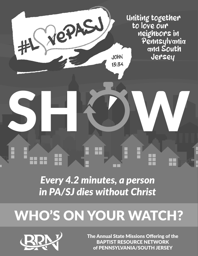Uniting together to love our neighbors in Pennsylvania **and South** Jersey

*Every 4.2 minutes, a person in PA/SJ dies without Christ*

SHØM

**JOHN** 

 $13:34$ 

CPASU

## WHO'S ON YOUR WATCH?



The Annual State Missions Offering of the BAPTIST RESOURCE NETWORK of PENNSYLVANIA/SOUTH JERSEY